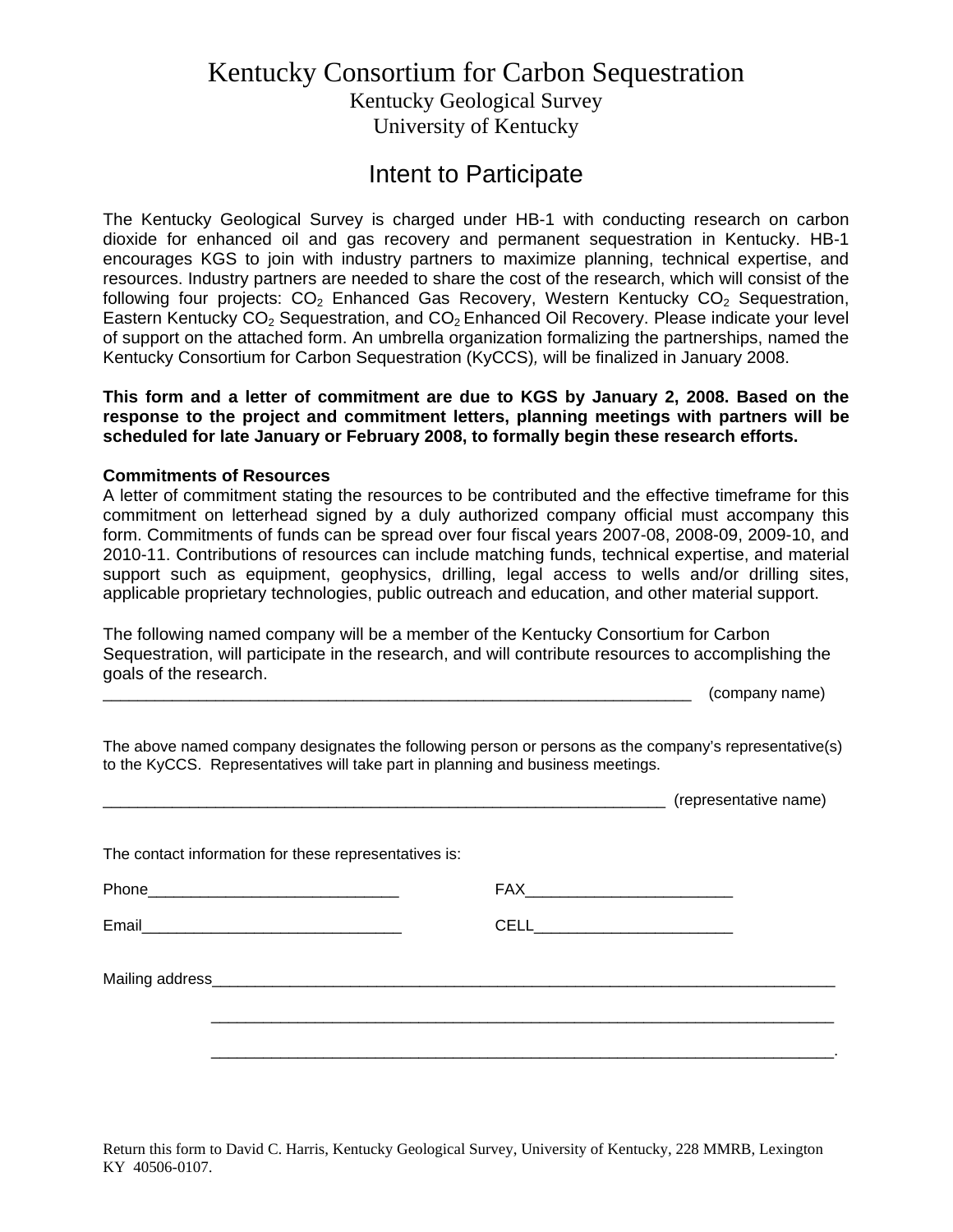## Kentucky Consortium for Carbon Sequestration Kentucky Geological Survey University of Kentucky

## Intent to Participate

The Kentucky Geological Survey is charged under HB-1 with conducting research on carbon dioxide for enhanced oil and gas recovery and permanent sequestration in Kentucky. HB-1 encourages KGS to join with industry partners to maximize planning, technical expertise, and resources. Industry partners are needed to share the cost of the research, which will consist of the following four projects:  $CO<sub>2</sub>$  Enhanced Gas Recovery, Western Kentucky  $CO<sub>2</sub>$  Sequestration, Eastern Kentucky CO<sub>2</sub> Sequestration, and CO<sub>2</sub> Enhanced Oil Recovery. Please indicate your level of support on the attached form. An umbrella organization formalizing the partnerships, named the Kentucky Consortium for Carbon Sequestration (KyCCS)*,* will be finalized in January 2008.

**This form and a letter of commitment are due to KGS by January 2, 2008. Based on the response to the project and commitment letters, planning meetings with partners will be scheduled for late January or February 2008, to formally begin these research efforts.** 

## **Commitments of Resources**

A letter of commitment stating the resources to be contributed and the effective timeframe for this commitment on letterhead signed by a duly authorized company official must accompany this form. Commitments of funds can be spread over four fiscal years 2007-08, 2008-09, 2009-10, and 2010-11. Contributions of resources can include matching funds, technical expertise, and material support such as equipment, geophysics, drilling, legal access to wells and/or drilling sites, applicable proprietary technologies, public outreach and education, and other material support.

The following named company will be a member of the Kentucky Consortium for Carbon Sequestration, will participate in the research, and will contribute resources to accomplishing the goals of the research.

\_\_\_\_\_\_\_\_\_\_\_\_\_\_\_\_\_\_\_\_\_\_\_\_\_\_\_\_\_\_\_\_\_\_\_\_\_\_\_\_\_\_\_\_\_\_\_\_\_\_\_\_\_\_\_\_\_\_\_\_\_\_\_\_\_\_\_\_ (company name)

The above named company designates the following person or persons as the company's representative(s) to the KyCCS. Representatives will take part in planning and business meetings.

|                                                       | (representative name)          |  |
|-------------------------------------------------------|--------------------------------|--|
| The contact information for these representatives is: |                                |  |
|                                                       |                                |  |
|                                                       | CELL__________________________ |  |
|                                                       |                                |  |
|                                                       |                                |  |
|                                                       |                                |  |

Return this form to David C. Harris, Kentucky Geological Survey, University of Kentucky, 228 MMRB, Lexington KY 40506-0107.